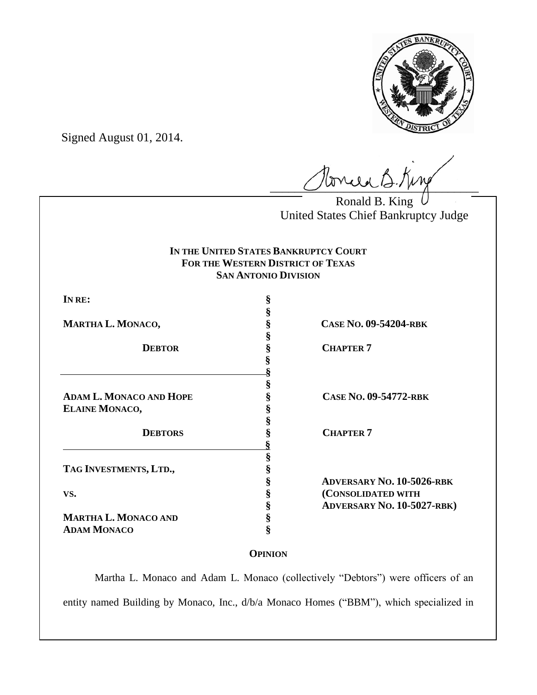

Signed August 01, 2014.

 $\ell$ oncea B. King

Ronald B. King United States Chief Bankruptcy Judge

# **IN THE UNITED STATES BANKRUPTCY COURT FOR THE WESTERN DISTRICT OF TEXAS SAN ANTONIO DIVISION**

**§**

**§**

**§ §**

**§**

**§**

 **§**

**ADAM L. MONACO AND HOPE § CASE NO. 09-54772-RBK ELAINE MONACO, §**

**§**

**TAG INVESTMENTS, LTD., §**

**MARTHA L. MONACO AND § ADAM MONACO §**

**MARTHA L. MONACO, § CASE NO. 09-54204-RBK**

**8 CHAPTER 7** 

 **DEBTORS § CHAPTER 7**

**§ ADVERSARY NO. 10-5026-RBK VS. § (CONSOLIDATED WITH § ADVERSARY NO. 10-5027-RBK)**

# **OPINION**

Martha L. Monaco and Adam L. Monaco (collectively "Debtors") were officers of an entity named Building by Monaco, Inc., d/b/a Monaco Homes ("BBM"), which specialized in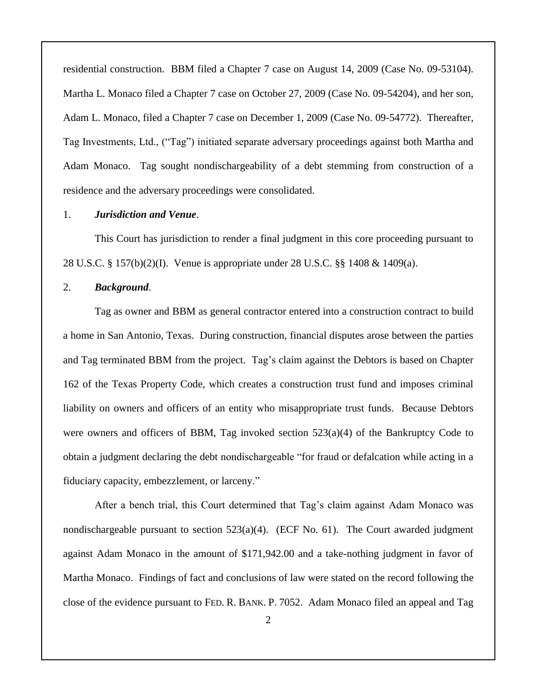residential construction. BBM filed a Chapter 7 case on August 14, 2009 (Case No. 09-53104). Martha L. Monaco filed a Chapter 7 case on October 27, 2009 (Case No. 09-54204), and her son, Adam L. Monaco, filed a Chapter 7 case on December 1, 2009 (Case No. 09-54772). Thereafter, Tag Investments, Ltd., ("Tag") initiated separate adversary proceedings against both Martha and Adam Monaco. Tag sought nondischargeability of a debt stemming from construction of a residence and the adversary proceedings were consolidated.

#### 1. *Jurisdiction and Venue*.

This Court has jurisdiction to render a final judgment in this core proceeding pursuant to 28 U.S.C. § 157(b)(2)(I). Venue is appropriate under 28 U.S.C. §§ 1408 & 1409(a).

#### 2. *Background*.

Tag as owner and BBM as general contractor entered into a construction contract to build a home in San Antonio, Texas. During construction, financial disputes arose between the parties and Tag terminated BBM from the project. Tag's claim against the Debtors is based on Chapter 162 of the Texas Property Code, which creates a construction trust fund and imposes criminal liability on owners and officers of an entity who misappropriate trust funds. Because Debtors were owners and officers of BBM, Tag invoked section  $523(a)(4)$  of the Bankruptcy Code to obtain a judgment declaring the debt nondischargeable "for fraud or defalcation while acting in a fiduciary capacity, embezzlement, or larceny."

After a bench trial, this Court determined that Tag's claim against Adam Monaco was nondischargeable pursuant to section 523(a)(4). (ECF No. 61). The Court awarded judgment against Adam Monaco in the amount of \$171,942.00 and a take-nothing judgment in favor of Martha Monaco. Findings of fact and conclusions of law were stated on the record following the close of the evidence pursuant to FED. R. BANK. P. 7052. Adam Monaco filed an appeal and Tag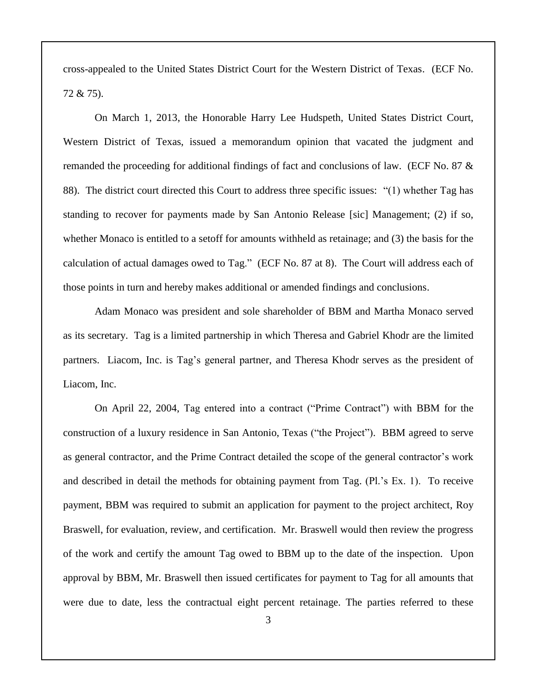cross-appealed to the United States District Court for the Western District of Texas. (ECF No. 72 & 75).

On March 1, 2013, the Honorable Harry Lee Hudspeth, United States District Court, Western District of Texas, issued a memorandum opinion that vacated the judgment and remanded the proceeding for additional findings of fact and conclusions of law. (ECF No. 87 & 88). The district court directed this Court to address three specific issues: "(1) whether Tag has standing to recover for payments made by San Antonio Release [sic] Management; (2) if so, whether Monaco is entitled to a setoff for amounts withheld as retainage; and (3) the basis for the calculation of actual damages owed to Tag." (ECF No. 87 at 8). The Court will address each of those points in turn and hereby makes additional or amended findings and conclusions.

Adam Monaco was president and sole shareholder of BBM and Martha Monaco served as its secretary. Tag is a limited partnership in which Theresa and Gabriel Khodr are the limited partners. Liacom, Inc. is Tag's general partner, and Theresa Khodr serves as the president of Liacom, Inc.

On April 22, 2004, Tag entered into a contract ("Prime Contract") with BBM for the construction of a luxury residence in San Antonio, Texas ("the Project"). BBM agreed to serve as general contractor, and the Prime Contract detailed the scope of the general contractor's work and described in detail the methods for obtaining payment from Tag. (Pl.'s Ex. 1). To receive payment, BBM was required to submit an application for payment to the project architect, Roy Braswell, for evaluation, review, and certification. Mr. Braswell would then review the progress of the work and certify the amount Tag owed to BBM up to the date of the inspection. Upon approval by BBM, Mr. Braswell then issued certificates for payment to Tag for all amounts that were due to date, less the contractual eight percent retainage. The parties referred to these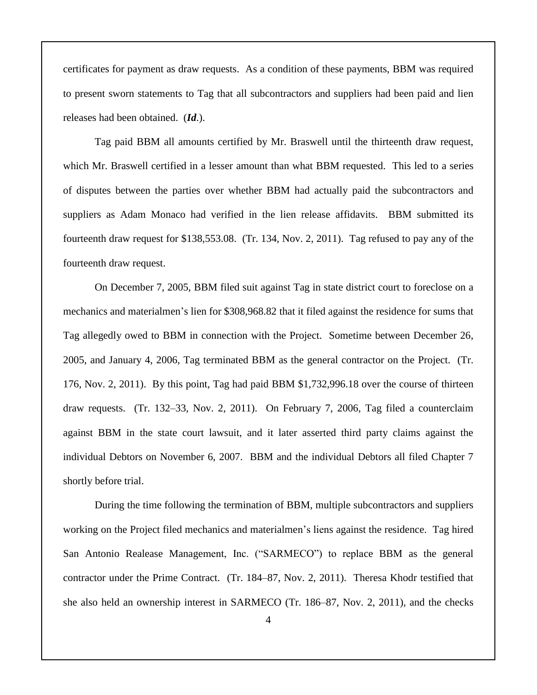certificates for payment as draw requests. As a condition of these payments, BBM was required to present sworn statements to Tag that all subcontractors and suppliers had been paid and lien releases had been obtained. (*Id*.).

Tag paid BBM all amounts certified by Mr. Braswell until the thirteenth draw request, which Mr. Braswell certified in a lesser amount than what BBM requested. This led to a series of disputes between the parties over whether BBM had actually paid the subcontractors and suppliers as Adam Monaco had verified in the lien release affidavits. BBM submitted its fourteenth draw request for \$138,553.08. (Tr. 134, Nov. 2, 2011). Tag refused to pay any of the fourteenth draw request.

On December 7, 2005, BBM filed suit against Tag in state district court to foreclose on a mechanics and materialmen's lien for \$308,968.82 that it filed against the residence for sums that Tag allegedly owed to BBM in connection with the Project. Sometime between December 26, 2005, and January 4, 2006, Tag terminated BBM as the general contractor on the Project. (Tr. 176, Nov. 2, 2011). By this point, Tag had paid BBM \$1,732,996.18 over the course of thirteen draw requests. (Tr. 132–33, Nov. 2, 2011). On February 7, 2006, Tag filed a counterclaim against BBM in the state court lawsuit, and it later asserted third party claims against the individual Debtors on November 6, 2007. BBM and the individual Debtors all filed Chapter 7 shortly before trial.

During the time following the termination of BBM, multiple subcontractors and suppliers working on the Project filed mechanics and materialmen's liens against the residence. Tag hired San Antonio Realease Management, Inc. ("SARMECO") to replace BBM as the general contractor under the Prime Contract. (Tr. 184–87, Nov. 2, 2011). Theresa Khodr testified that she also held an ownership interest in SARMECO (Tr. 186–87, Nov. 2, 2011), and the checks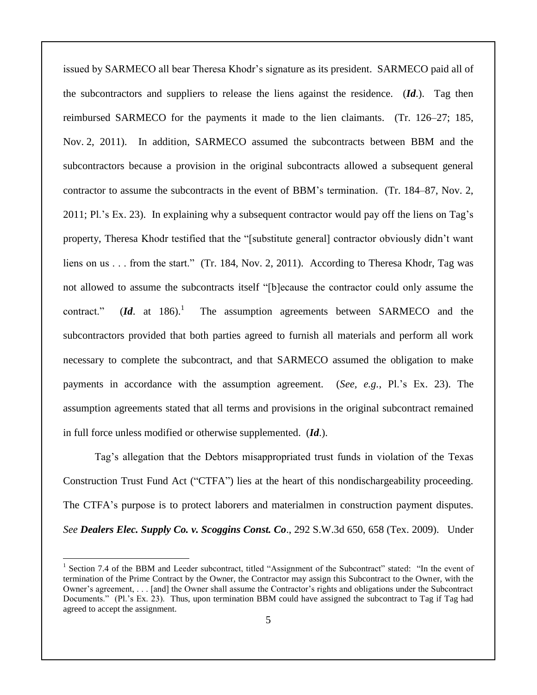issued by SARMECO all bear Theresa Khodr's signature as its president. SARMECO paid all of the subcontractors and suppliers to release the liens against the residence. (*Id*.). Tag then reimbursed SARMECO for the payments it made to the lien claimants. (Tr. 126–27; 185, Nov. 2, 2011). In addition, SARMECO assumed the subcontracts between BBM and the subcontractors because a provision in the original subcontracts allowed a subsequent general contractor to assume the subcontracts in the event of BBM's termination. (Tr. 184–87, Nov. 2, 2011; Pl.'s Ex. 23). In explaining why a subsequent contractor would pay off the liens on Tag's property, Theresa Khodr testified that the "[substitute general] contractor obviously didn't want liens on us . . . from the start." (Tr. 184, Nov. 2, 2011). According to Theresa Khodr, Tag was not allowed to assume the subcontracts itself "[b]ecause the contractor could only assume the contract."  $(Id. \text{ at } 186).$ <sup>1</sup> The assumption agreements between SARMECO and the subcontractors provided that both parties agreed to furnish all materials and perform all work necessary to complete the subcontract, and that SARMECO assumed the obligation to make payments in accordance with the assumption agreement. (*See, e.g.*, Pl.'s Ex. 23). The assumption agreements stated that all terms and provisions in the original subcontract remained in full force unless modified or otherwise supplemented. (*Id*.).

Tag's allegation that the Debtors misappropriated trust funds in violation of the Texas Construction Trust Fund Act ("CTFA") lies at the heart of this nondischargeability proceeding. The CTFA's purpose is to protect laborers and materialmen in construction payment disputes. *See Dealers Elec. Supply Co. v. Scoggins Const. Co*., 292 S.W.3d 650, 658 (Tex. 2009). Under

<sup>&</sup>lt;sup>1</sup> Section 7.4 of the BBM and Leeder subcontract, titled "Assignment of the Subcontract" stated: "In the event of termination of the Prime Contract by the Owner, the Contractor may assign this Subcontract to the Owner, with the Owner's agreement, . . . [and] the Owner shall assume the Contractor's rights and obligations under the Subcontract Documents." (Pl.'s Ex. 23). Thus, upon termination BBM could have assigned the subcontract to Tag if Tag had agreed to accept the assignment.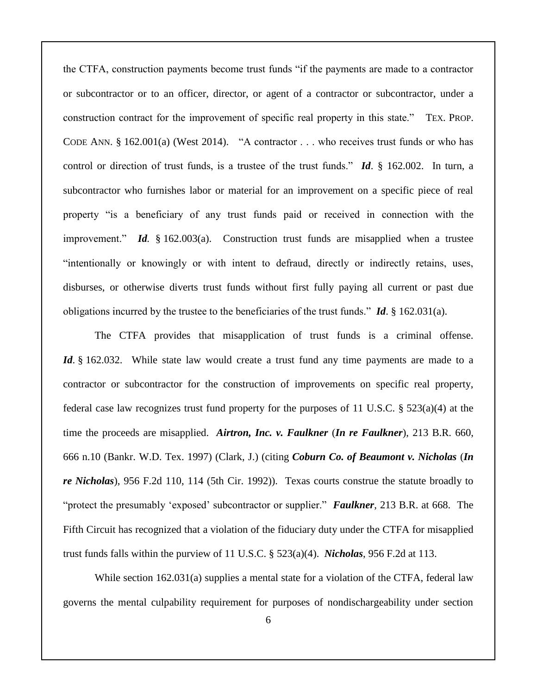the CTFA, construction payments become trust funds "if the payments are made to a contractor or subcontractor or to an officer, director, or agent of a contractor or subcontractor, under a construction contract for the improvement of specific real property in this state." TEX. PROP. CODE ANN. § 162.001(a) (West 2014). "A contractor . . . who receives trust funds or who has control or direction of trust funds, is a trustee of the trust funds." *Id*. § 162.002. In turn, a subcontractor who furnishes labor or material for an improvement on a specific piece of real property "is a beneficiary of any trust funds paid or received in connection with the improvement." *Id.* § 162.003(a). Construction trust funds are misapplied when a trustee "intentionally or knowingly or with intent to defraud, directly or indirectly retains, uses, disburses, or otherwise diverts trust funds without first fully paying all current or past due obligations incurred by the trustee to the beneficiaries of the trust funds." *Id*. § 162.031(a).

The CTFA provides that misapplication of trust funds is a criminal offense. *Id*. § 162.032. While state law would create a trust fund any time payments are made to a contractor or subcontractor for the construction of improvements on specific real property, federal case law recognizes trust fund property for the purposes of 11 U.S.C. § 523(a)(4) at the time the proceeds are misapplied. *Airtron, Inc. v. Faulkner* (*In re Faulkner*), 213 B.R. 660, 666 n.10 (Bankr. W.D. Tex. 1997) (Clark, J.) (citing *Coburn Co. of Beaumont v. Nicholas* (*In re Nicholas*), 956 F.2d 110, 114 (5th Cir. 1992)). Texas courts construe the statute broadly to "protect the presumably 'exposed' subcontractor or supplier." *Faulkner*, 213 B.R. at 668. The Fifth Circuit has recognized that a violation of the fiduciary duty under the CTFA for misapplied trust funds falls within the purview of 11 U.S.C. § 523(a)(4). *Nicholas*, 956 F.2d at 113.

While section 162.031(a) supplies a mental state for a violation of the CTFA, federal law governs the mental culpability requirement for purposes of nondischargeability under section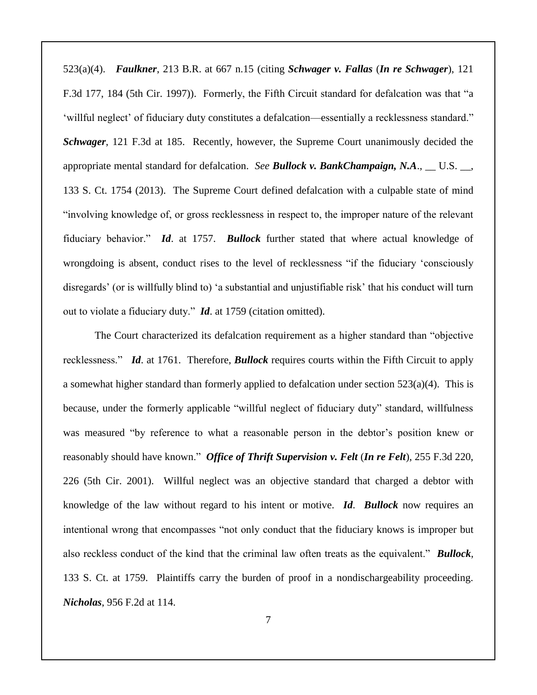523(a)(4). *Faulkner*, 213 B.R. at 667 n.15 (citing *Schwager v. Fallas* (*In re Schwager*), 121 F.3d 177, 184 (5th Cir. 1997)). Formerly, the Fifth Circuit standard for defalcation was that "a 'willful neglect' of fiduciary duty constitutes a defalcation—essentially a recklessness standard." *Schwager*, 121 F.3d at 185. Recently, however, the Supreme Court unanimously decided the appropriate mental standard for defalcation. *See Bullock v. BankChampaign, N.A*., \_\_ U.S. \_\_, 133 S. Ct. 1754 (2013). The Supreme Court defined defalcation with a culpable state of mind "involving knowledge of, or gross recklessness in respect to, the improper nature of the relevant fiduciary behavior." *Id*. at 1757. *Bullock* further stated that where actual knowledge of wrongdoing is absent, conduct rises to the level of recklessness "if the fiduciary 'consciously disregards' (or is willfully blind to) 'a substantial and unjustifiable risk' that his conduct will turn out to violate a fiduciary duty." *Id*. at 1759 (citation omitted).

The Court characterized its defalcation requirement as a higher standard than "objective recklessness." *Id*. at 1761. Therefore, *Bullock* requires courts within the Fifth Circuit to apply a somewhat higher standard than formerly applied to defalcation under section  $523(a)(4)$ . This is because, under the formerly applicable "willful neglect of fiduciary duty" standard, willfulness was measured "by reference to what a reasonable person in the debtor's position knew or reasonably should have known." *Office of Thrift Supervision v. Felt* (*In re Felt*), 255 F.3d 220, 226 (5th Cir. 2001). Willful neglect was an objective standard that charged a debtor with knowledge of the law without regard to his intent or motive. *Id*. *Bullock* now requires an intentional wrong that encompasses "not only conduct that the fiduciary knows is improper but also reckless conduct of the kind that the criminal law often treats as the equivalent." *Bullock*, 133 S. Ct. at 1759. Plaintiffs carry the burden of proof in a nondischargeability proceeding. *Nicholas*, 956 F.2d at 114.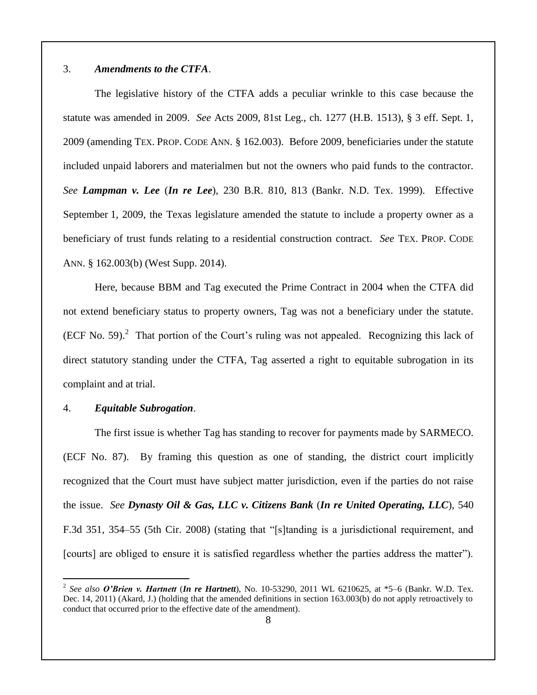### 3. *Amendments to the CTFA*.

The legislative history of the CTFA adds a peculiar wrinkle to this case because the statute was amended in 2009. *See* Acts 2009, 81st Leg., ch. 1277 (H.B. 1513), § 3 eff. Sept. 1, 2009 (amending TEX. PROP. CODE ANN. § 162.003). Before 2009, beneficiaries under the statute included unpaid laborers and materialmen but not the owners who paid funds to the contractor. *See Lampman v. Lee* (*In re Lee*), 230 B.R. 810, 813 (Bankr. N.D. Tex. 1999). Effective September 1, 2009, the Texas legislature amended the statute to include a property owner as a beneficiary of trust funds relating to a residential construction contract. *See* TEX. PROP. CODE ANN. § 162.003(b) (West Supp. 2014).

Here, because BBM and Tag executed the Prime Contract in 2004 when the CTFA did not extend beneficiary status to property owners, Tag was not a beneficiary under the statute.  $(ECF No. 59).$ <sup>2</sup> That portion of the Court's ruling was not appealed. Recognizing this lack of direct statutory standing under the CTFA, Tag asserted a right to equitable subrogation in its complaint and at trial.

### 4. *Equitable Subrogation*.

 $\overline{a}$ 

The first issue is whether Tag has standing to recover for payments made by SARMECO. (ECF No. 87). By framing this question as one of standing, the district court implicitly recognized that the Court must have subject matter jurisdiction, even if the parties do not raise the issue. *See Dynasty Oil & Gas, LLC v. Citizens Bank* (*In re United Operating, LLC*), 540 F.3d 351, 354–55 (5th Cir. 2008) (stating that "[s]tanding is a jurisdictional requirement, and [courts] are obliged to ensure it is satisfied regardless whether the parties address the matter").

<sup>2</sup> *See also O'Brien v. Hartnett* (*In re Hartnett*), No. 10-53290, 2011 WL 6210625, at \*5–6 (Bankr. W.D. Tex. Dec. 14, 2011) (Akard, J.) (holding that the amended definitions in section 163.003(b) do not apply retroactively to conduct that occurred prior to the effective date of the amendment).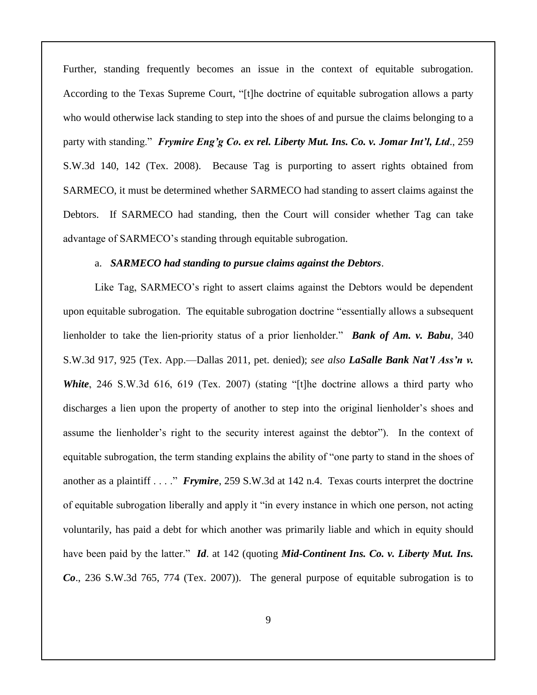Further, standing frequently becomes an issue in the context of equitable subrogation. According to the Texas Supreme Court, "[t]he doctrine of equitable subrogation allows a party who would otherwise lack standing to step into the shoes of and pursue the claims belonging to a party with standing." *Frymire Eng'g Co. ex rel. Liberty Mut. Ins. Co. v. Jomar Int'l, Ltd*., 259 S.W.3d 140, 142 (Tex. 2008). Because Tag is purporting to assert rights obtained from SARMECO, it must be determined whether SARMECO had standing to assert claims against the Debtors. If SARMECO had standing, then the Court will consider whether Tag can take advantage of SARMECO's standing through equitable subrogation.

#### a. *SARMECO had standing to pursue claims against the Debtors*.

Like Tag, SARMECO's right to assert claims against the Debtors would be dependent upon equitable subrogation. The equitable subrogation doctrine "essentially allows a subsequent lienholder to take the lien-priority status of a prior lienholder." *Bank of Am. v. Babu*, 340 S.W.3d 917, 925 (Tex. App.—Dallas 2011, pet. denied); *see also LaSalle Bank Nat'l Ass'n v. White*, 246 S.W.3d 616, 619 (Tex. 2007) (stating "[t]he doctrine allows a third party who discharges a lien upon the property of another to step into the original lienholder's shoes and assume the lienholder's right to the security interest against the debtor"). In the context of equitable subrogation, the term standing explains the ability of "one party to stand in the shoes of another as a plaintiff . . . ." *Frymire*, 259 S.W.3d at 142 n.4. Texas courts interpret the doctrine of equitable subrogation liberally and apply it "in every instance in which one person, not acting voluntarily, has paid a debt for which another was primarily liable and which in equity should have been paid by the latter." *Id*. at 142 (quoting *Mid-Continent Ins. Co. v. Liberty Mut. Ins. Co*., 236 S.W.3d 765, 774 (Tex. 2007)). The general purpose of equitable subrogation is to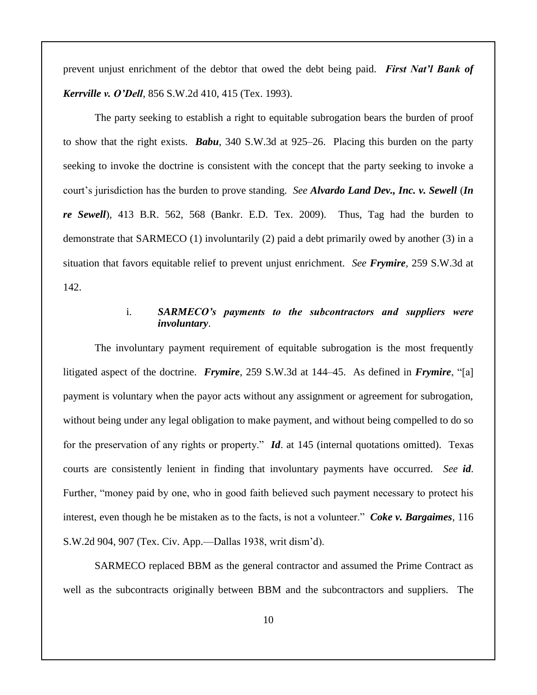prevent unjust enrichment of the debtor that owed the debt being paid. *First Nat'l Bank of Kerrville v. O'Dell*, 856 S.W.2d 410, 415 (Tex. 1993).

The party seeking to establish a right to equitable subrogation bears the burden of proof to show that the right exists. *Babu*, 340 S.W.3d at 925–26. Placing this burden on the party seeking to invoke the doctrine is consistent with the concept that the party seeking to invoke a court's jurisdiction has the burden to prove standing. *See Alvardo Land Dev., Inc. v. Sewell* (*In re Sewell*), 413 B.R. 562, 568 (Bankr. E.D. Tex. 2009). Thus, Tag had the burden to demonstrate that SARMECO (1) involuntarily (2) paid a debt primarily owed by another (3) in a situation that favors equitable relief to prevent unjust enrichment. *See Frymire*, 259 S.W.3d at 142.

## i. *SARMECO's payments to the subcontractors and suppliers were involuntary*.

The involuntary payment requirement of equitable subrogation is the most frequently litigated aspect of the doctrine. *Frymire*, 259 S.W.3d at 144–45. As defined in *Frymire*, "[a] payment is voluntary when the payor acts without any assignment or agreement for subrogation, without being under any legal obligation to make payment, and without being compelled to do so for the preservation of any rights or property." *Id*. at 145 (internal quotations omitted). Texas courts are consistently lenient in finding that involuntary payments have occurred. *See id*. Further, "money paid by one, who in good faith believed such payment necessary to protect his interest, even though he be mistaken as to the facts, is not a volunteer." *Coke v. Bargaimes*, 116 S.W.2d 904, 907 (Tex. Civ. App.—Dallas 1938, writ dism'd).

SARMECO replaced BBM as the general contractor and assumed the Prime Contract as well as the subcontracts originally between BBM and the subcontractors and suppliers. The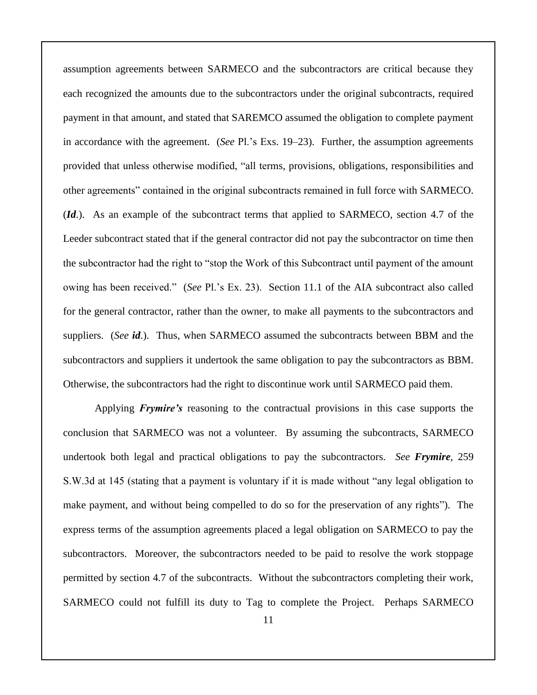assumption agreements between SARMECO and the subcontractors are critical because they each recognized the amounts due to the subcontractors under the original subcontracts, required payment in that amount, and stated that SAREMCO assumed the obligation to complete payment in accordance with the agreement. (*See* Pl.'s Exs. 19–23). Further, the assumption agreements provided that unless otherwise modified, "all terms, provisions, obligations, responsibilities and other agreements" contained in the original subcontracts remained in full force with SARMECO. (*Id*.). As an example of the subcontract terms that applied to SARMECO, section 4.7 of the Leeder subcontract stated that if the general contractor did not pay the subcontractor on time then the subcontractor had the right to "stop the Work of this Subcontract until payment of the amount owing has been received." (*See* Pl.'s Ex. 23). Section 11.1 of the AIA subcontract also called for the general contractor, rather than the owner, to make all payments to the subcontractors and suppliers. (*See id*.). Thus, when SARMECO assumed the subcontracts between BBM and the subcontractors and suppliers it undertook the same obligation to pay the subcontractors as BBM. Otherwise, the subcontractors had the right to discontinue work until SARMECO paid them.

Applying *Frymire's* reasoning to the contractual provisions in this case supports the conclusion that SARMECO was not a volunteer. By assuming the subcontracts, SARMECO undertook both legal and practical obligations to pay the subcontractors. *See Frymire*, 259 S.W.3d at 145 (stating that a payment is voluntary if it is made without "any legal obligation to make payment, and without being compelled to do so for the preservation of any rights"). The express terms of the assumption agreements placed a legal obligation on SARMECO to pay the subcontractors. Moreover, the subcontractors needed to be paid to resolve the work stoppage permitted by section 4.7 of the subcontracts. Without the subcontractors completing their work, SARMECO could not fulfill its duty to Tag to complete the Project. Perhaps SARMECO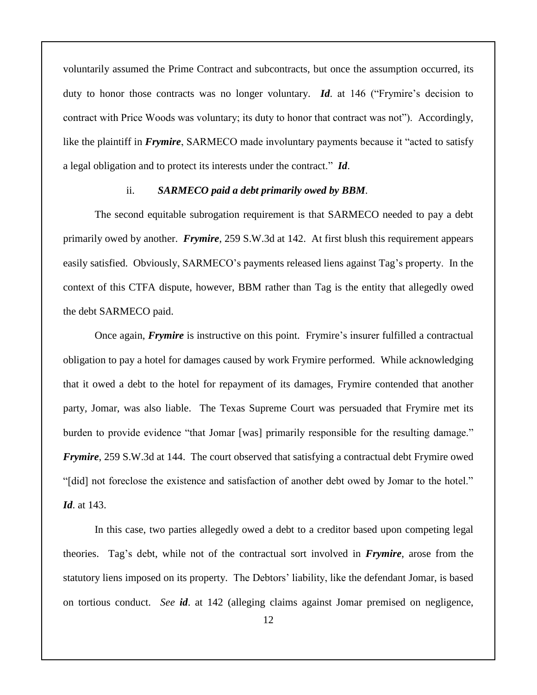voluntarily assumed the Prime Contract and subcontracts, but once the assumption occurred, its duty to honor those contracts was no longer voluntary. *Id*. at 146 ("Frymire's decision to contract with Price Woods was voluntary; its duty to honor that contract was not"). Accordingly, like the plaintiff in *Frymire*, SARMECO made involuntary payments because it "acted to satisfy a legal obligation and to protect its interests under the contract." *Id*.

#### ii. *SARMECO paid a debt primarily owed by BBM*.

The second equitable subrogation requirement is that SARMECO needed to pay a debt primarily owed by another. *Frymire*, 259 S.W.3d at 142. At first blush this requirement appears easily satisfied. Obviously, SARMECO's payments released liens against Tag's property. In the context of this CTFA dispute, however, BBM rather than Tag is the entity that allegedly owed the debt SARMECO paid.

Once again, *Frymire* is instructive on this point. Frymire's insurer fulfilled a contractual obligation to pay a hotel for damages caused by work Frymire performed. While acknowledging that it owed a debt to the hotel for repayment of its damages, Frymire contended that another party, Jomar, was also liable. The Texas Supreme Court was persuaded that Frymire met its burden to provide evidence "that Jomar [was] primarily responsible for the resulting damage." *Frymire*, 259 S.W.3d at 144. The court observed that satisfying a contractual debt Frymire owed "[did] not foreclose the existence and satisfaction of another debt owed by Jomar to the hotel." *Id*. at 143.

In this case, two parties allegedly owed a debt to a creditor based upon competing legal theories. Tag's debt, while not of the contractual sort involved in *Frymire*, arose from the statutory liens imposed on its property. The Debtors' liability, like the defendant Jomar, is based on tortious conduct. *See id*. at 142 (alleging claims against Jomar premised on negligence,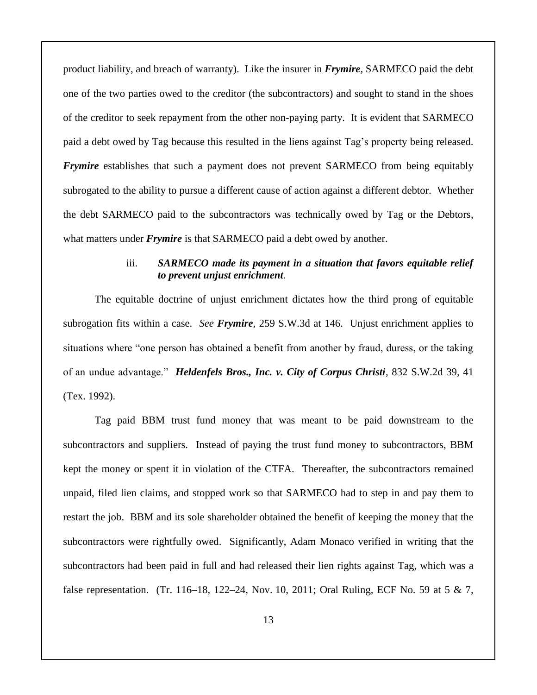product liability, and breach of warranty). Like the insurer in *Frymire*, SARMECO paid the debt one of the two parties owed to the creditor (the subcontractors) and sought to stand in the shoes of the creditor to seek repayment from the other non-paying party. It is evident that SARMECO paid a debt owed by Tag because this resulted in the liens against Tag's property being released. *Frymire* establishes that such a payment does not prevent SARMECO from being equitably subrogated to the ability to pursue a different cause of action against a different debtor. Whether the debt SARMECO paid to the subcontractors was technically owed by Tag or the Debtors, what matters under *Frymire* is that SARMECO paid a debt owed by another.

## iii. *SARMECO made its payment in a situation that favors equitable relief to prevent unjust enrichment*.

The equitable doctrine of unjust enrichment dictates how the third prong of equitable subrogation fits within a case. *See Frymire*, 259 S.W.3d at 146. Unjust enrichment applies to situations where "one person has obtained a benefit from another by fraud, duress, or the taking of an undue advantage." *Heldenfels Bros., Inc. v. City of Corpus Christi*, 832 S.W.2d 39, 41 (Tex. 1992).

Tag paid BBM trust fund money that was meant to be paid downstream to the subcontractors and suppliers. Instead of paying the trust fund money to subcontractors, BBM kept the money or spent it in violation of the CTFA. Thereafter, the subcontractors remained unpaid, filed lien claims, and stopped work so that SARMECO had to step in and pay them to restart the job. BBM and its sole shareholder obtained the benefit of keeping the money that the subcontractors were rightfully owed. Significantly, Adam Monaco verified in writing that the subcontractors had been paid in full and had released their lien rights against Tag, which was a false representation. (Tr. 116–18, 122–24, Nov. 10, 2011; Oral Ruling, ECF No. 59 at 5 & 7,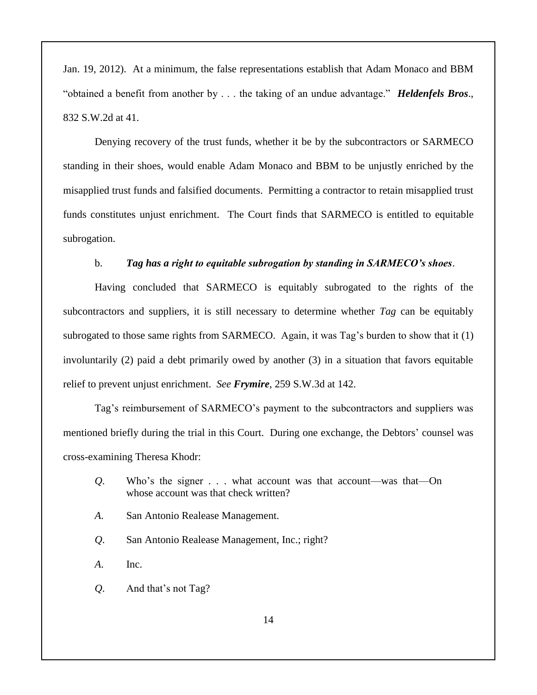Jan. 19, 2012). At a minimum, the false representations establish that Adam Monaco and BBM "obtained a benefit from another by . . . the taking of an undue advantage." *Heldenfels Bros*., 832 S.W.2d at 41.

Denying recovery of the trust funds, whether it be by the subcontractors or SARMECO standing in their shoes, would enable Adam Monaco and BBM to be unjustly enriched by the misapplied trust funds and falsified documents. Permitting a contractor to retain misapplied trust funds constitutes unjust enrichment. The Court finds that SARMECO is entitled to equitable subrogation.

#### b. *Tag has a right to equitable subrogation by standing in SARMECO's shoes*.

Having concluded that SARMECO is equitably subrogated to the rights of the subcontractors and suppliers, it is still necessary to determine whether *Tag* can be equitably subrogated to those same rights from SARMECO. Again, it was Tag's burden to show that it (1) involuntarily (2) paid a debt primarily owed by another (3) in a situation that favors equitable relief to prevent unjust enrichment. *See Frymire*, 259 S.W.3d at 142.

Tag's reimbursement of SARMECO's payment to the subcontractors and suppliers was mentioned briefly during the trial in this Court. During one exchange, the Debtors' counsel was cross-examining Theresa Khodr:

- *Q*. Who's the signer . . . what account was that account—was that—On whose account was that check written?
- *A*. San Antonio Realease Management.
- *Q*. San Antonio Realease Management, Inc.; right?
- *A*. Inc.
- *Q*. And that's not Tag?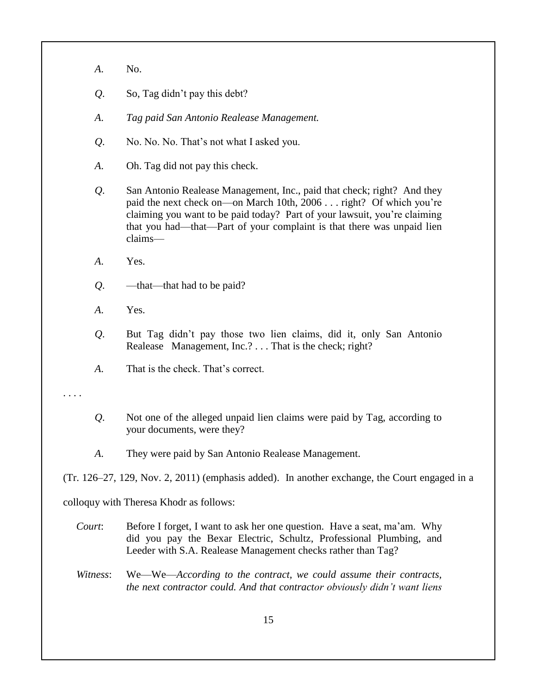- *A*. No.
- *Q*. So, Tag didn't pay this debt?
- *A*. *Tag paid San Antonio Realease Management.*
- *Q*. No. No. No. That's not what I asked you.
- *A*. Oh. Tag did not pay this check.
- *Q*. San Antonio Realease Management, Inc., paid that check; right? And they paid the next check on—on March 10th, 2006 . . . right? Of which you're claiming you want to be paid today? Part of your lawsuit, you're claiming that you had—that—Part of your complaint is that there was unpaid lien claims—
- *A*. Yes.
- *Q*. —that—that had to be paid?
- *A*. Yes.
- *Q*. But Tag didn't pay those two lien claims, did it, only San Antonio Realease Management, Inc.? . . . That is the check; right?
- *A*. That is the check. That's correct.

. . . .

- *Q*. Not one of the alleged unpaid lien claims were paid by Tag, according to your documents, were they?
- *A*. They were paid by San Antonio Realease Management.

(Tr. 126–27, 129, Nov. 2, 2011) (emphasis added). In another exchange, the Court engaged in a

colloquy with Theresa Khodr as follows:

- *Court*: Before I forget, I want to ask her one question. Have a seat, ma'am. Why did you pay the Bexar Electric, Schultz, Professional Plumbing, and Leeder with S.A. Realease Management checks rather than Tag?
- *Witness*: We—We—*According to the contract, we could assume their contracts, the next contractor could. And that contractor obviously didn't want liens*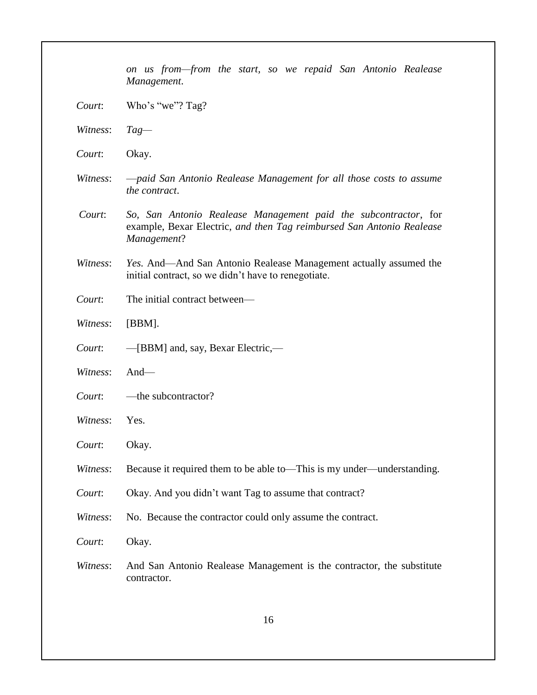|          | on us from—from the start, so we repaid San Antonio Realease<br>Management.                                                                             |
|----------|---------------------------------------------------------------------------------------------------------------------------------------------------------|
| Court:   | Who's "we"? Tag?                                                                                                                                        |
| Witness: | $Tag-$                                                                                                                                                  |
| Court:   | Okay.                                                                                                                                                   |
| Witness: | -paid San Antonio Realease Management for all those costs to assume<br>the contract.                                                                    |
| Court:   | So, San Antonio Realease Management paid the subcontractor, for<br>example, Bexar Electric, and then Tag reimbursed San Antonio Realease<br>Management? |
| Witness: | Yes. And—And San Antonio Realease Management actually assumed the<br>initial contract, so we didn't have to renegotiate.                                |
| Court:   | The initial contract between—                                                                                                                           |
| Witness: | $[BBM]$ .                                                                                                                                               |
| Court:   | -[BBM] and, say, Bexar Electric,-                                                                                                                       |
| Witness: | And $-$                                                                                                                                                 |
| Court:   | -the subcontractor?                                                                                                                                     |
| Witness: | Yes.                                                                                                                                                    |
| Court:   | Okay.                                                                                                                                                   |
| Witness: | Because it required them to be able to—This is my under—understanding.                                                                                  |
| Court:   | Okay. And you didn't want Tag to assume that contract?                                                                                                  |
| Witness: | No. Because the contractor could only assume the contract.                                                                                              |
| Court:   | Okay.                                                                                                                                                   |
| Witness: | And San Antonio Realease Management is the contractor, the substitute<br>contractor.                                                                    |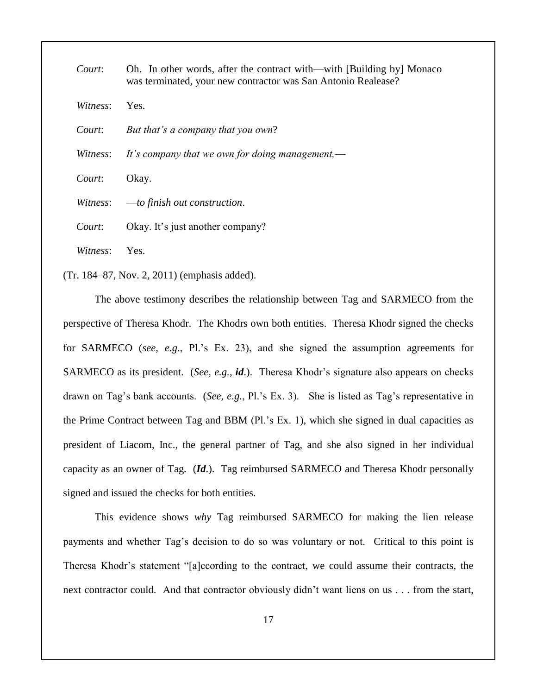| Court:   | Oh. In other words, after the contract with—with [Building by] Monaco<br>was terminated, your new contractor was San Antonio Realease? |
|----------|----------------------------------------------------------------------------------------------------------------------------------------|
| Witness: | Yes.                                                                                                                                   |
| Court:   | But that's a company that you own?                                                                                                     |
| Witness: | It's company that we own for doing management,—                                                                                        |
| Court:   | Okay.                                                                                                                                  |
| Witness: | $-$ to finish out construction.                                                                                                        |
| Court:   | Okay. It's just another company?                                                                                                       |
| Witness: | Yes.                                                                                                                                   |

(Tr. 184–87, Nov. 2, 2011) (emphasis added).

The above testimony describes the relationship between Tag and SARMECO from the perspective of Theresa Khodr. The Khodrs own both entities. Theresa Khodr signed the checks for SARMECO (*see, e.g.*, Pl.'s Ex. 23), and she signed the assumption agreements for SARMECO as its president. (*See, e.g.*, *id*.). Theresa Khodr's signature also appears on checks drawn on Tag's bank accounts. (*See, e.g.*, Pl.'s Ex. 3). She is listed as Tag's representative in the Prime Contract between Tag and BBM (Pl.'s Ex. 1), which she signed in dual capacities as president of Liacom, Inc., the general partner of Tag, and she also signed in her individual capacity as an owner of Tag. (*Id*.). Tag reimbursed SARMECO and Theresa Khodr personally signed and issued the checks for both entities.

This evidence shows *why* Tag reimbursed SARMECO for making the lien release payments and whether Tag's decision to do so was voluntary or not. Critical to this point is Theresa Khodr's statement "[a]ccording to the contract, we could assume their contracts, the next contractor could. And that contractor obviously didn't want liens on us . . . from the start,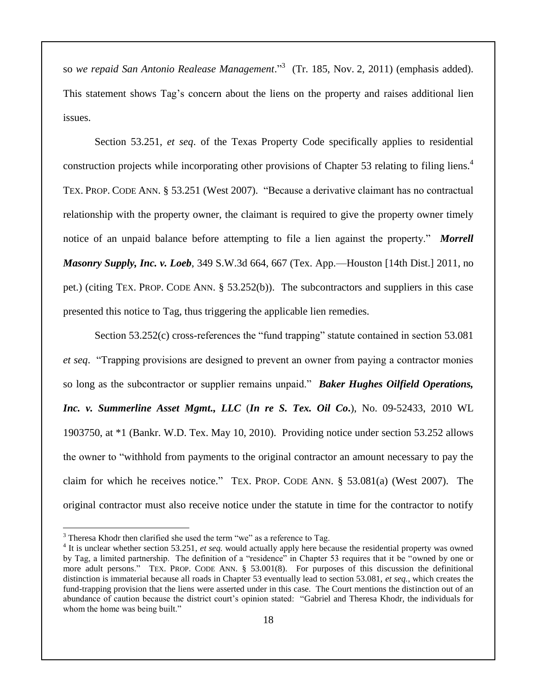so *we repaid San Antonio Realease Management*." 3 (Tr. 185, Nov. 2, 2011) (emphasis added). This statement shows Tag's concern about the liens on the property and raises additional lien issues.

Section 53.251, *et seq*. of the Texas Property Code specifically applies to residential construction projects while incorporating other provisions of Chapter 53 relating to filing liens.<sup>4</sup> TEX. PROP. CODE ANN. § 53.251 (West 2007). "Because a derivative claimant has no contractual relationship with the property owner, the claimant is required to give the property owner timely notice of an unpaid balance before attempting to file a lien against the property." *Morrell Masonry Supply, Inc. v. Loeb*, 349 S.W.3d 664, 667 (Tex. App.—Houston [14th Dist.] 2011, no pet.) (citing TEX. PROP. CODE ANN. § 53.252(b)). The subcontractors and suppliers in this case presented this notice to Tag, thus triggering the applicable lien remedies.

Section 53.252(c) cross-references the "fund trapping" statute contained in section 53.081 *et seq*. "Trapping provisions are designed to prevent an owner from paying a contractor monies so long as the subcontractor or supplier remains unpaid." *Baker Hughes Oilfield Operations, Inc. v. Summerline Asset Mgmt., LLC* (*In re S. Tex. Oil Co***.**), No. 09-52433, 2010 WL 1903750, at \*1 (Bankr. W.D. Tex. May 10, 2010). Providing notice under section 53.252 allows the owner to "withhold from payments to the original contractor an amount necessary to pay the claim for which he receives notice." TEX. PROP. CODE ANN. § 53.081(a) (West 2007). The original contractor must also receive notice under the statute in time for the contractor to notify

<sup>&</sup>lt;sup>3</sup> Theresa Khodr then clarified she used the term "we" as a reference to Tag.

<sup>&</sup>lt;sup>4</sup> It is unclear whether section 53.251, *et seq.* would actually apply here because the residential property was owned by Tag, a limited partnership. The definition of a "residence" in Chapter 53 requires that it be "owned by one or more adult persons." TEX. PROP. CODE ANN. § 53.001(8). For purposes of this discussion the definitional distinction is immaterial because all roads in Chapter 53 eventually lead to section 53.081, *et seq.*, which creates the fund-trapping provision that the liens were asserted under in this case. The Court mentions the distinction out of an abundance of caution because the district court's opinion stated: "Gabriel and Theresa Khodr, the individuals for whom the home was being built."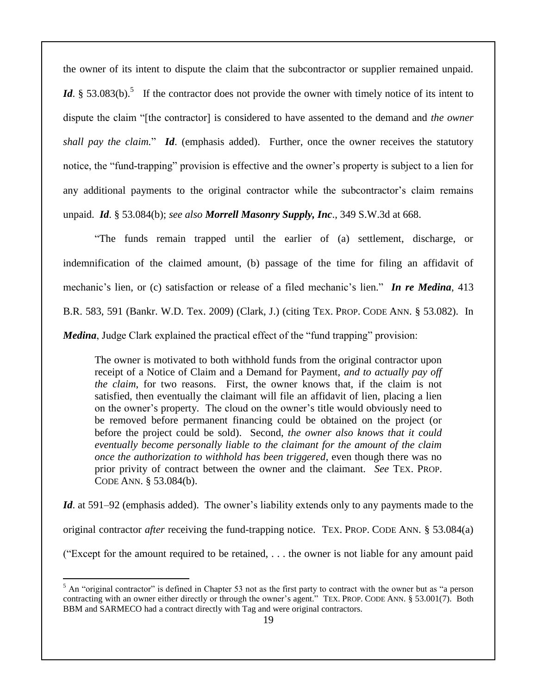the owner of its intent to dispute the claim that the subcontractor or supplier remained unpaid. *Id*. § 53.083(b).<sup>5</sup> If the contractor does not provide the owner with timely notice of its intent to dispute the claim "[the contractor] is considered to have assented to the demand and *the owner shall pay the claim.*" *Id.* (emphasis added). Further, once the owner receives the statutory notice, the "fund-trapping" provision is effective and the owner's property is subject to a lien for any additional payments to the original contractor while the subcontractor's claim remains unpaid. *Id*. § 53.084(b); *see also Morrell Masonry Supply, Inc*., 349 S.W.3d at 668.

"The funds remain trapped until the earlier of (a) settlement, discharge, or indemnification of the claimed amount, (b) passage of the time for filing an affidavit of mechanic's lien, or (c) satisfaction or release of a filed mechanic's lien." *In re Medina*, 413 B.R. 583, 591 (Bankr. W.D. Tex. 2009) (Clark, J.) (citing TEX. PROP. CODE ANN. § 53.082). In *Medina*, Judge Clark explained the practical effect of the "fund trapping" provision:

The owner is motivated to both withhold funds from the original contractor upon receipt of a Notice of Claim and a Demand for Payment, *and to actually pay off the claim*, for two reasons. First, the owner knows that, if the claim is not satisfied, then eventually the claimant will file an affidavit of lien, placing a lien on the owner's property. The cloud on the owner's title would obviously need to be removed before permanent financing could be obtained on the project (or before the project could be sold). Second, *the owner also knows that it could eventually become personally liable to the claimant for the amount of the claim once the authorization to withhold has been triggered*, even though there was no prior privity of contract between the owner and the claimant. *See* TEX. PROP. CODE ANN. § 53.084(b).

*Id*. at 591–92 (emphasis added). The owner's liability extends only to any payments made to the original contractor *after* receiving the fund-trapping notice. TEX. PROP. CODE ANN. § 53.084(a) ("Except for the amount required to be retained, . . . the owner is not liable for any amount paid

 $<sup>5</sup>$  An "original contractor" is defined in Chapter 53 not as the first party to contract with the owner but as "a person</sup> contracting with an owner either directly or through the owner's agent." TEX. PROP. CODE ANN. § 53.001(7). Both BBM and SARMECO had a contract directly with Tag and were original contractors.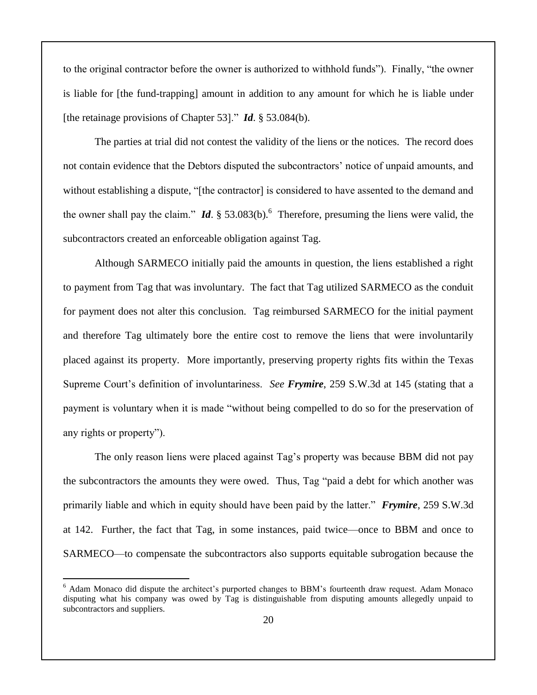to the original contractor before the owner is authorized to withhold funds"). Finally, "the owner is liable for [the fund-trapping] amount in addition to any amount for which he is liable under [the retainage provisions of Chapter 53]." *Id*. § 53.084(b).

The parties at trial did not contest the validity of the liens or the notices. The record does not contain evidence that the Debtors disputed the subcontractors' notice of unpaid amounts, and without establishing a dispute, "[the contractor] is considered to have assented to the demand and the owner shall pay the claim."  $\mathbf{Id}$ . § 53.083(b).<sup>6</sup> Therefore, presuming the liens were valid, the subcontractors created an enforceable obligation against Tag.

Although SARMECO initially paid the amounts in question, the liens established a right to payment from Tag that was involuntary. The fact that Tag utilized SARMECO as the conduit for payment does not alter this conclusion. Tag reimbursed SARMECO for the initial payment and therefore Tag ultimately bore the entire cost to remove the liens that were involuntarily placed against its property. More importantly, preserving property rights fits within the Texas Supreme Court's definition of involuntariness. *See Frymire*, 259 S.W.3d at 145 (stating that a payment is voluntary when it is made "without being compelled to do so for the preservation of any rights or property").

The only reason liens were placed against Tag's property was because BBM did not pay the subcontractors the amounts they were owed. Thus, Tag "paid a debt for which another was primarily liable and which in equity should have been paid by the latter." *Frymire*, 259 S.W.3d at 142. Further, the fact that Tag, in some instances, paid twice—once to BBM and once to SARMECO—to compensate the subcontractors also supports equitable subrogation because the

<sup>6</sup> Adam Monaco did dispute the architect's purported changes to BBM's fourteenth draw request. Adam Monaco disputing what his company was owed by Tag is distinguishable from disputing amounts allegedly unpaid to subcontractors and suppliers.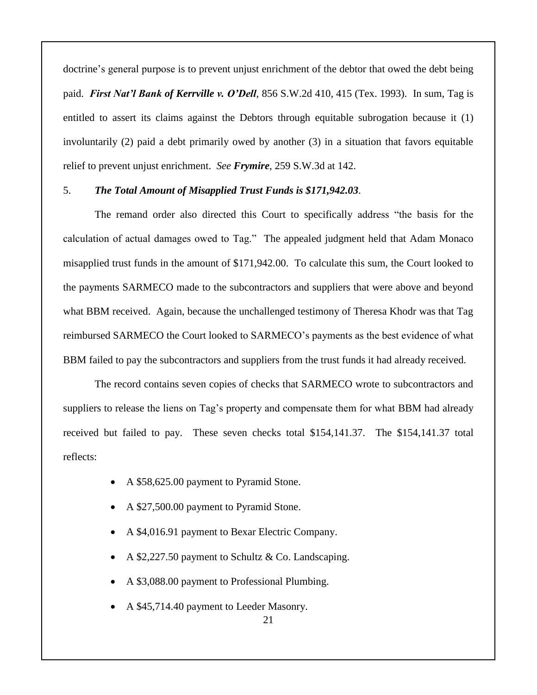doctrine's general purpose is to prevent unjust enrichment of the debtor that owed the debt being paid. *First Nat'l Bank of Kerrville v. O'Dell*, 856 S.W.2d 410, 415 (Tex. 1993). In sum, Tag is entitled to assert its claims against the Debtors through equitable subrogation because it (1) involuntarily (2) paid a debt primarily owed by another (3) in a situation that favors equitable relief to prevent unjust enrichment. *See Frymire*, 259 S.W.3d at 142.

#### 5. *The Total Amount of Misapplied Trust Funds is \$171,942.03*.

The remand order also directed this Court to specifically address "the basis for the calculation of actual damages owed to Tag." The appealed judgment held that Adam Monaco misapplied trust funds in the amount of \$171,942.00. To calculate this sum, the Court looked to the payments SARMECO made to the subcontractors and suppliers that were above and beyond what BBM received. Again, because the unchallenged testimony of Theresa Khodr was that Tag reimbursed SARMECO the Court looked to SARMECO's payments as the best evidence of what BBM failed to pay the subcontractors and suppliers from the trust funds it had already received.

The record contains seven copies of checks that SARMECO wrote to subcontractors and suppliers to release the liens on Tag's property and compensate them for what BBM had already received but failed to pay. These seven checks total \$154,141.37. The \$154,141.37 total reflects:

- A \$58,625.00 payment to Pyramid Stone.
- A \$27,500.00 payment to Pyramid Stone.
- A \$4,016.91 payment to Bexar Electric Company.
- A \$2,227.50 payment to Schultz & Co. Landscaping.
- A \$3,088.00 payment to Professional Plumbing.
- A \$45,714.40 payment to Leeder Masonry.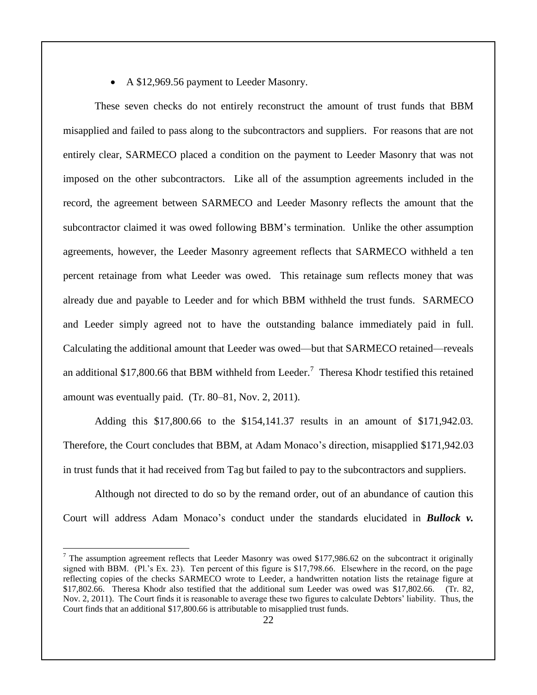A \$12,969.56 payment to Leeder Masonry.

These seven checks do not entirely reconstruct the amount of trust funds that BBM misapplied and failed to pass along to the subcontractors and suppliers. For reasons that are not entirely clear, SARMECO placed a condition on the payment to Leeder Masonry that was not imposed on the other subcontractors. Like all of the assumption agreements included in the record, the agreement between SARMECO and Leeder Masonry reflects the amount that the subcontractor claimed it was owed following BBM's termination. Unlike the other assumption agreements, however, the Leeder Masonry agreement reflects that SARMECO withheld a ten percent retainage from what Leeder was owed. This retainage sum reflects money that was already due and payable to Leeder and for which BBM withheld the trust funds. SARMECO and Leeder simply agreed not to have the outstanding balance immediately paid in full. Calculating the additional amount that Leeder was owed—but that SARMECO retained—reveals an additional \$17,800.66 that BBM withheld from Leeder.<sup>7</sup> Theresa Khodr testified this retained amount was eventually paid. (Tr. 80–81, Nov. 2, 2011).

Adding this \$17,800.66 to the \$154,141.37 results in an amount of \$171,942.03. Therefore, the Court concludes that BBM, at Adam Monaco's direction, misapplied \$171,942.03 in trust funds that it had received from Tag but failed to pay to the subcontractors and suppliers.

Although not directed to do so by the remand order, out of an abundance of caution this Court will address Adam Monaco's conduct under the standards elucidated in *Bullock v.* 

<sup>&</sup>lt;sup>7</sup> The assumption agreement reflects that Leeder Masonry was owed \$177,986.62 on the subcontract it originally signed with BBM. (Pl.'s Ex. 23). Ten percent of this figure is \$17,798.66. Elsewhere in the record, on the page reflecting copies of the checks SARMECO wrote to Leeder, a handwritten notation lists the retainage figure at \$17,802.66. Theresa Khodr also testified that the additional sum Leeder was owed was \$17,802.66. (Tr. 82, Nov. 2, 2011). The Court finds it is reasonable to average these two figures to calculate Debtors' liability. Thus, the Court finds that an additional \$17,800.66 is attributable to misapplied trust funds.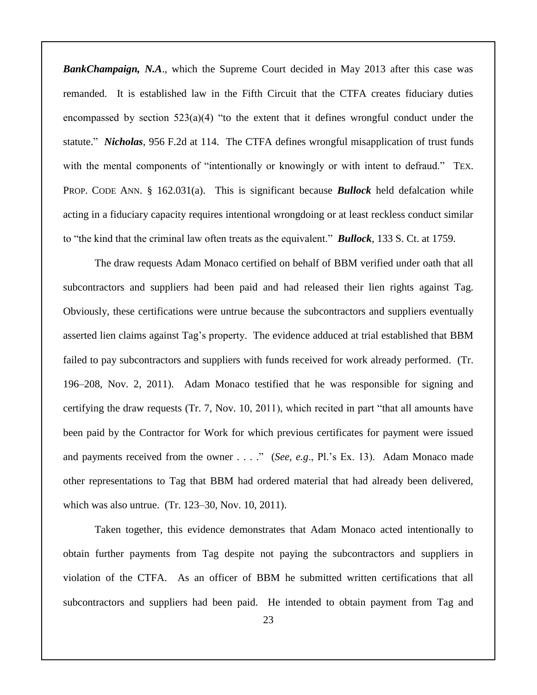*BankChampaign, N.A.*, which the Supreme Court decided in May 2013 after this case was remanded. It is established law in the Fifth Circuit that the CTFA creates fiduciary duties encompassed by section  $523(a)(4)$  "to the extent that it defines wrongful conduct under the statute." *Nicholas*, 956 F.2d at 114. The CTFA defines wrongful misapplication of trust funds with the mental components of "intentionally or knowingly or with intent to defraud." TEX. PROP. CODE ANN. § 162.031(a). This is significant because *Bullock* held defalcation while acting in a fiduciary capacity requires intentional wrongdoing or at least reckless conduct similar to "the kind that the criminal law often treats as the equivalent." *Bullock*, 133 S. Ct. at 1759.

The draw requests Adam Monaco certified on behalf of BBM verified under oath that all subcontractors and suppliers had been paid and had released their lien rights against Tag. Obviously, these certifications were untrue because the subcontractors and suppliers eventually asserted lien claims against Tag's property. The evidence adduced at trial established that BBM failed to pay subcontractors and suppliers with funds received for work already performed. (Tr. 196–208, Nov. 2, 2011). Adam Monaco testified that he was responsible for signing and certifying the draw requests (Tr. 7, Nov. 10, 2011), which recited in part "that all amounts have been paid by the Contractor for Work for which previous certificates for payment were issued and payments received from the owner . . . ." (*See, e.g*., Pl.'s Ex. 13). Adam Monaco made other representations to Tag that BBM had ordered material that had already been delivered, which was also untrue. (Tr. 123–30, Nov. 10, 2011).

Taken together, this evidence demonstrates that Adam Monaco acted intentionally to obtain further payments from Tag despite not paying the subcontractors and suppliers in violation of the CTFA. As an officer of BBM he submitted written certifications that all subcontractors and suppliers had been paid. He intended to obtain payment from Tag and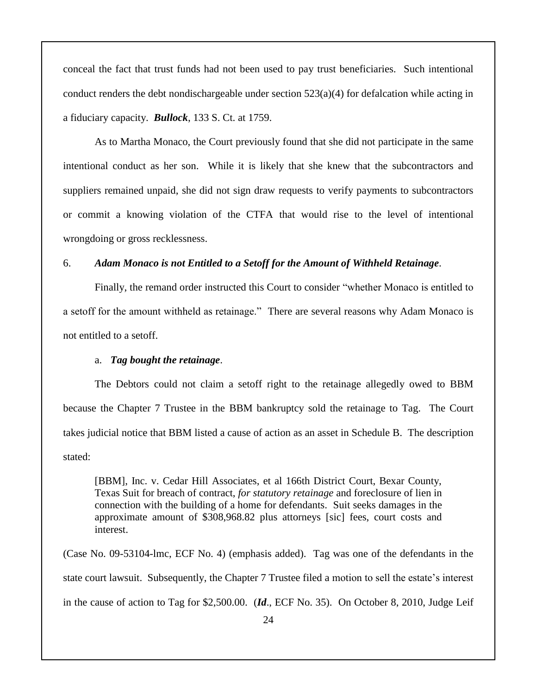conceal the fact that trust funds had not been used to pay trust beneficiaries. Such intentional conduct renders the debt nondischargeable under section  $523(a)(4)$  for defalcation while acting in a fiduciary capacity. *Bullock*, 133 S. Ct. at 1759.

As to Martha Monaco, the Court previously found that she did not participate in the same intentional conduct as her son. While it is likely that she knew that the subcontractors and suppliers remained unpaid, she did not sign draw requests to verify payments to subcontractors or commit a knowing violation of the CTFA that would rise to the level of intentional wrongdoing or gross recklessness.

#### 6. *Adam Monaco is not Entitled to a Setoff for the Amount of Withheld Retainage*.

Finally, the remand order instructed this Court to consider "whether Monaco is entitled to a setoff for the amount withheld as retainage." There are several reasons why Adam Monaco is not entitled to a setoff.

#### a. *Tag bought the retainage*.

The Debtors could not claim a setoff right to the retainage allegedly owed to BBM because the Chapter 7 Trustee in the BBM bankruptcy sold the retainage to Tag. The Court takes judicial notice that BBM listed a cause of action as an asset in Schedule B. The description stated:

[BBM], Inc. v. Cedar Hill Associates, et al 166th District Court, Bexar County, Texas Suit for breach of contract, *for statutory retainage* and foreclosure of lien in connection with the building of a home for defendants. Suit seeks damages in the approximate amount of \$308,968.82 plus attorneys [sic] fees, court costs and interest.

(Case No. 09-53104-lmc, ECF No. 4) (emphasis added). Tag was one of the defendants in the state court lawsuit. Subsequently, the Chapter 7 Trustee filed a motion to sell the estate's interest in the cause of action to Tag for \$2,500.00. (*Id*., ECF No. 35). On October 8, 2010, Judge Leif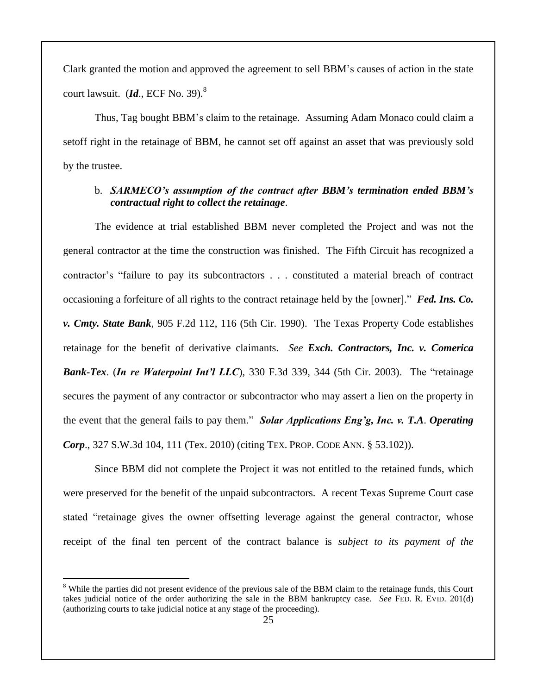Clark granted the motion and approved the agreement to sell BBM's causes of action in the state court lawsuit. (*Id.*, ECF No. 39).<sup>8</sup>

Thus, Tag bought BBM's claim to the retainage. Assuming Adam Monaco could claim a setoff right in the retainage of BBM, he cannot set off against an asset that was previously sold by the trustee.

## b. *SARMECO's assumption of the contract after BBM's termination ended BBM's contractual right to collect the retainage*.

The evidence at trial established BBM never completed the Project and was not the general contractor at the time the construction was finished. The Fifth Circuit has recognized a contractor's "failure to pay its subcontractors . . . constituted a material breach of contract occasioning a forfeiture of all rights to the contract retainage held by the [owner]." *Fed. Ins. Co. v. Cmty. State Bank*, 905 F.2d 112, 116 (5th Cir. 1990). The Texas Property Code establishes retainage for the benefit of derivative claimants. *See Exch. Contractors, Inc. v. Comerica Bank-Tex*. (*In re Waterpoint Int'l LLC*), 330 F.3d 339, 344 (5th Cir. 2003). The "retainage secures the payment of any contractor or subcontractor who may assert a lien on the property in the event that the general fails to pay them." *Solar Applications Eng'g, Inc. v. T.A*. *Operating Corp*., 327 S.W.3d 104, 111 (Tex. 2010) (citing TEX. PROP. CODE ANN. § 53.102)).

Since BBM did not complete the Project it was not entitled to the retained funds, which were preserved for the benefit of the unpaid subcontractors. A recent Texas Supreme Court case stated "retainage gives the owner offsetting leverage against the general contractor, whose receipt of the final ten percent of the contract balance is *subject to its payment of the* 

<sup>&</sup>lt;sup>8</sup> While the parties did not present evidence of the previous sale of the BBM claim to the retainage funds, this Court takes judicial notice of the order authorizing the sale in the BBM bankruptcy case. *See* FED. R. EVID. 201(d) (authorizing courts to take judicial notice at any stage of the proceeding).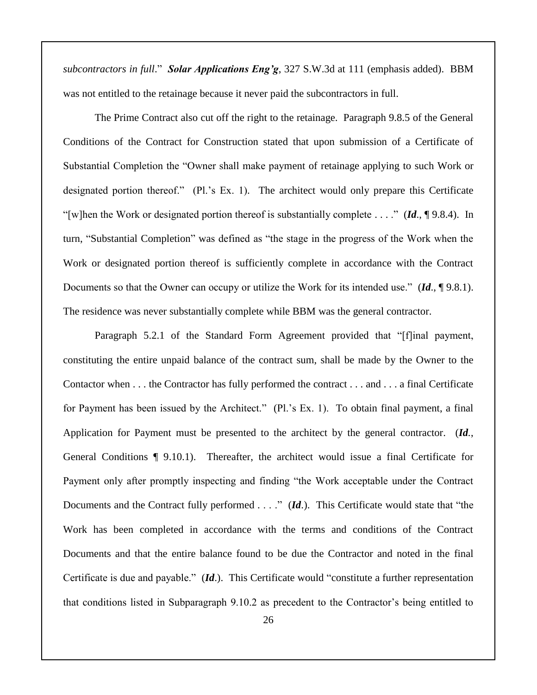*subcontractors in full*." *Solar Applications Eng'g*, 327 S.W.3d at 111 (emphasis added). BBM was not entitled to the retainage because it never paid the subcontractors in full.

The Prime Contract also cut off the right to the retainage. Paragraph 9.8.5 of the General Conditions of the Contract for Construction stated that upon submission of a Certificate of Substantial Completion the "Owner shall make payment of retainage applying to such Work or designated portion thereof." (Pl.'s Ex. 1). The architect would only prepare this Certificate "[w]hen the Work or designated portion thereof is substantially complete . . . ." (*Id*., ¶ 9.8.4). In turn, "Substantial Completion" was defined as "the stage in the progress of the Work when the Work or designated portion thereof is sufficiently complete in accordance with the Contract Documents so that the Owner can occupy or utilize the Work for its intended use." (*Id*., ¶ 9.8.1). The residence was never substantially complete while BBM was the general contractor.

Paragraph 5.2.1 of the Standard Form Agreement provided that "[f]inal payment, constituting the entire unpaid balance of the contract sum, shall be made by the Owner to the Contactor when . . . the Contractor has fully performed the contract . . . and . . . a final Certificate for Payment has been issued by the Architect." (Pl.'s Ex. 1). To obtain final payment, a final Application for Payment must be presented to the architect by the general contractor. (*Id.*, General Conditions ¶ 9.10.1). Thereafter, the architect would issue a final Certificate for Payment only after promptly inspecting and finding "the Work acceptable under the Contract Documents and the Contract fully performed . . . ." (*Id*.). This Certificate would state that "the Work has been completed in accordance with the terms and conditions of the Contract Documents and that the entire balance found to be due the Contractor and noted in the final Certificate is due and payable." (*Id*.). This Certificate would "constitute a further representation that conditions listed in Subparagraph 9.10.2 as precedent to the Contractor's being entitled to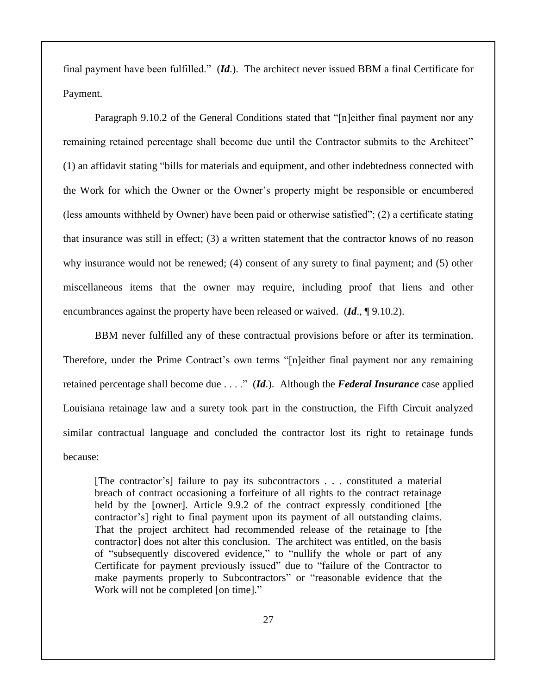final payment have been fulfilled." (*Id*.). The architect never issued BBM a final Certificate for Payment.

Paragraph 9.10.2 of the General Conditions stated that "[n]either final payment nor any remaining retained percentage shall become due until the Contractor submits to the Architect" (1) an affidavit stating "bills for materials and equipment, and other indebtedness connected with the Work for which the Owner or the Owner's property might be responsible or encumbered (less amounts withheld by Owner) have been paid or otherwise satisfied"; (2) a certificate stating that insurance was still in effect; (3) a written statement that the contractor knows of no reason why insurance would not be renewed; (4) consent of any surety to final payment; and (5) other miscellaneous items that the owner may require, including proof that liens and other encumbrances against the property have been released or waived. (*Id*., ¶ 9.10.2).

BBM never fulfilled any of these contractual provisions before or after its termination. Therefore, under the Prime Contract's own terms "[n]either final payment nor any remaining retained percentage shall become due . . . ." (*Id*.). Although the *Federal Insurance* case applied Louisiana retainage law and a surety took part in the construction, the Fifth Circuit analyzed similar contractual language and concluded the contractor lost its right to retainage funds because:

[The contractor's] failure to pay its subcontractors . . . constituted a material breach of contract occasioning a forfeiture of all rights to the contract retainage held by the [owner]. Article 9.9.2 of the contract expressly conditioned [the contractor's] right to final payment upon its payment of all outstanding claims. That the project architect had recommended release of the retainage to [the contractor] does not alter this conclusion. The architect was entitled, on the basis of "subsequently discovered evidence," to "nullify the whole or part of any Certificate for payment previously issued" due to "failure of the Contractor to make payments properly to Subcontractors" or "reasonable evidence that the Work will not be completed [on time]."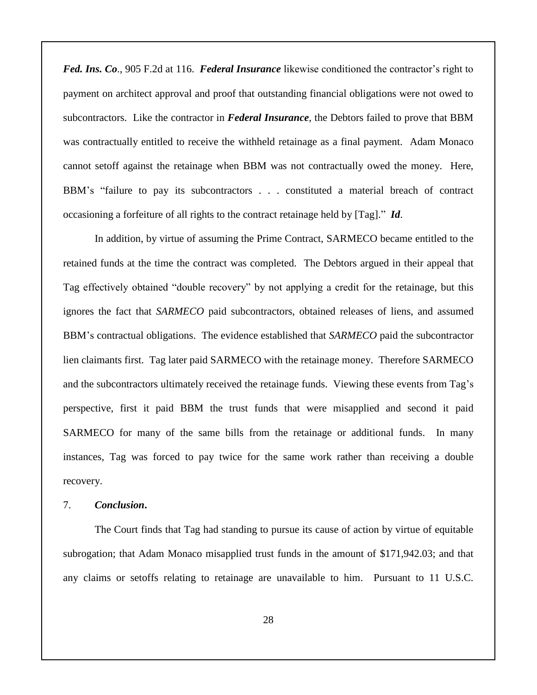*Fed. Ins. Co*., 905 F.2d at 116. *Federal Insurance* likewise conditioned the contractor's right to payment on architect approval and proof that outstanding financial obligations were not owed to subcontractors. Like the contractor in *Federal Insurance*, the Debtors failed to prove that BBM was contractually entitled to receive the withheld retainage as a final payment. Adam Monaco cannot setoff against the retainage when BBM was not contractually owed the money. Here, BBM's "failure to pay its subcontractors . . . constituted a material breach of contract occasioning a forfeiture of all rights to the contract retainage held by [Tag]." *Id*.

In addition, by virtue of assuming the Prime Contract, SARMECO became entitled to the retained funds at the time the contract was completed. The Debtors argued in their appeal that Tag effectively obtained "double recovery" by not applying a credit for the retainage, but this ignores the fact that *SARMECO* paid subcontractors, obtained releases of liens, and assumed BBM's contractual obligations. The evidence established that *SARMECO* paid the subcontractor lien claimants first. Tag later paid SARMECO with the retainage money. Therefore SARMECO and the subcontractors ultimately received the retainage funds. Viewing these events from Tag's perspective, first it paid BBM the trust funds that were misapplied and second it paid SARMECO for many of the same bills from the retainage or additional funds. In many instances, Tag was forced to pay twice for the same work rather than receiving a double recovery.

#### 7. *Conclusion***.**

The Court finds that Tag had standing to pursue its cause of action by virtue of equitable subrogation; that Adam Monaco misapplied trust funds in the amount of \$171,942.03; and that any claims or setoffs relating to retainage are unavailable to him. Pursuant to 11 U.S.C.